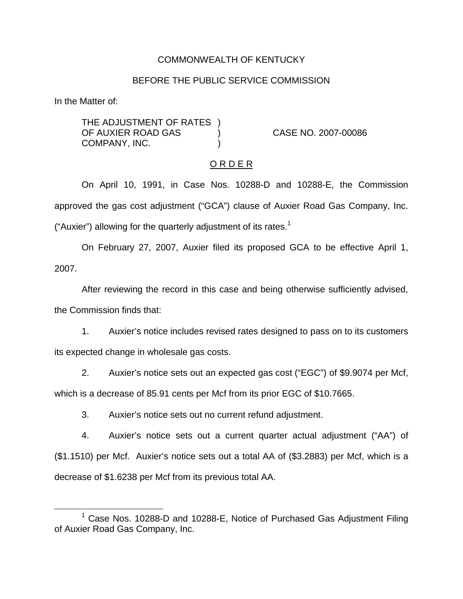# COMMONWEALTH OF KENTUCKY

### BEFORE THE PUBLIC SERVICE COMMISSION

In the Matter of:

THE ADJUSTMENT OF RATES ) OF AUXIER ROAD GAS ) CASE NO. 2007-00086 COMPANY, INC.

#### O R D E R

On April 10, 1991, in Case Nos. 10288-D and 10288-E, the Commission approved the gas cost adjustment ("GCA") clause of Auxier Road Gas Company, Inc. ("Auxier") allowing for the quarterly adjustment of its rates.<sup>1</sup>

On February 27, 2007, Auxier filed its proposed GCA to be effective April 1, 2007.

After reviewing the record in this case and being otherwise sufficiently advised, the Commission finds that:

1. Auxier's notice includes revised rates designed to pass on to its customers its expected change in wholesale gas costs.

2. Auxier's notice sets out an expected gas cost ("EGC") of \$9.9074 per Mcf, which is a decrease of 85.91 cents per Mcf from its prior EGC of \$10.7665.

3. Auxier's notice sets out no current refund adjustment.

4. Auxier's notice sets out a current quarter actual adjustment ("AA") of (\$1.1510) per Mcf. Auxier's notice sets out a total AA of (\$3.2883) per Mcf, which is a decrease of \$1.6238 per Mcf from its previous total AA.

 $1$  Case Nos. 10288-D and 10288-E, Notice of Purchased Gas Adjustment Filing of Auxier Road Gas Company, Inc.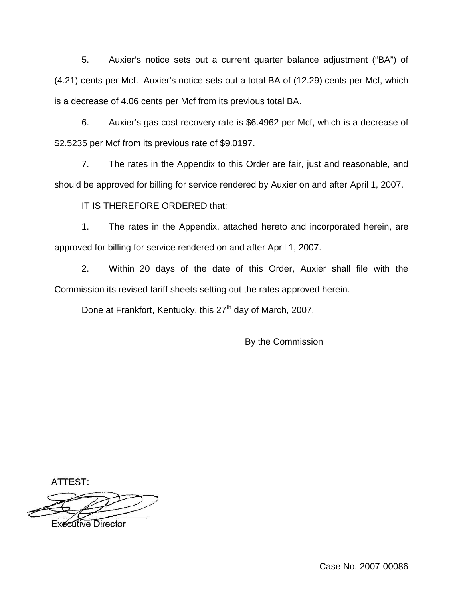5. Auxier's notice sets out a current quarter balance adjustment ("BA") of (4.21) cents per Mcf. Auxier's notice sets out a total BA of (12.29) cents per Mcf, which is a decrease of 4.06 cents per Mcf from its previous total BA.

6. Auxier's gas cost recovery rate is \$6.4962 per Mcf, which is a decrease of \$2.5235 per Mcf from its previous rate of \$9.0197.

7. The rates in the Appendix to this Order are fair, just and reasonable, and should be approved for billing for service rendered by Auxier on and after April 1, 2007.

IT IS THEREFORE ORDERED that:

1. The rates in the Appendix, attached hereto and incorporated herein, are approved for billing for service rendered on and after April 1, 2007.

2. Within 20 days of the date of this Order, Auxier shall file with the Commission its revised tariff sheets setting out the rates approved herein.

Done at Frankfort, Kentucky, this 27<sup>th</sup> day of March, 2007.

By the Commission

ATTEST:

**Executive Director**